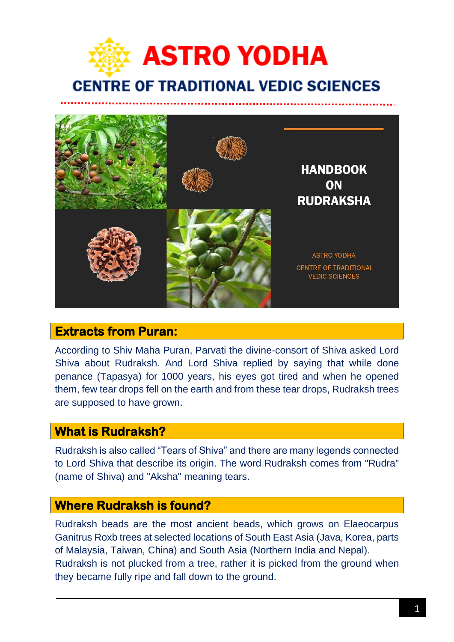



### **Extracts from Puran:**

According to Shiv Maha Puran, Parvati the divine-consort of Shiva asked Lord Shiva about Rudraksh. And Lord Shiva replied by saying that while done penance (Tapasya) for 1000 years, his eyes got tired and when he opened them, few tear drops fell on the earth and from these tear drops, Rudraksh trees are supposed to have grown.

### **What is Rudraksh?**

Rudraksh is also called "Tears of Shiva" and there are many legends connected to Lord Shiva that describe its origin. The word Rudraksh comes from "Rudra" (name of Shiva) and "Aksha" meaning tears.

### **Where Rudraksh is found?**

Rudraksh beads are the most ancient beads, which grows on Elaeocarpus Ganitrus Roxb trees at selected locations of South East Asia (Java, Korea, parts of Malaysia, Taiwan, China) and South Asia (Northern India and Nepal). Rudraksh is not plucked from a tree, rather it is picked from the ground when they became fully ripe and fall down to the ground.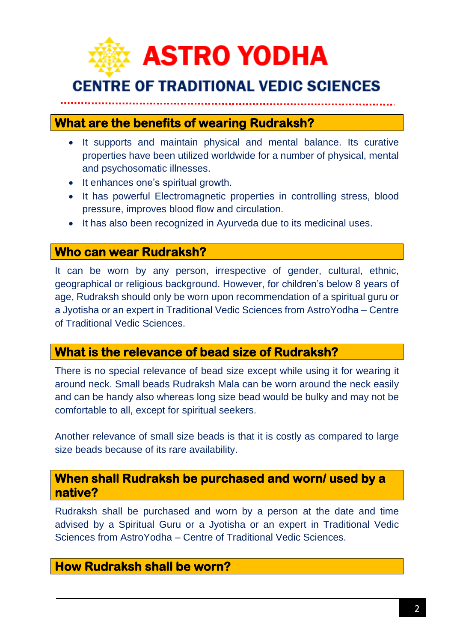

# **What are the benefits of wearing Rudraksh?**

- It supports and maintain physical and mental balance. Its curative properties have been utilized worldwide for a number of physical, mental and psychosomatic illnesses.
- It enhances one's spiritual growth.
- It has powerful Electromagnetic properties in controlling stress, blood pressure, improves blood flow and circulation.
- It has also been recognized in Ayurveda due to its medicinal uses.

### **Who can wear Rudraksh?**

It can be worn by any person, irrespective of gender, cultural, ethnic, geographical or religious background. However, for children's below 8 years of age, Rudraksh should only be worn upon recommendation of a spiritual guru or a Jyotisha or an expert in Traditional Vedic Sciences from AstroYodha – Centre of Traditional Vedic Sciences.

### **What is the relevance of bead size of Rudraksh?**

There is no special relevance of bead size except while using it for wearing it around neck. Small beads Rudraksh Mala can be worn around the neck easily and can be handy also whereas long size bead would be bulky and may not be comfortable to all, except for spiritual seekers.

Another relevance of small size beads is that it is costly as compared to large size beads because of its rare availability.

### **When shall Rudraksh be purchased and worn/ used by a native?**

Rudraksh shall be purchased and worn by a person at the date and time advised by a Spiritual Guru or a Jyotisha or an expert in Traditional Vedic Sciences from AstroYodha – Centre of Traditional Vedic Sciences.

## **How Rudraksh shall be worn?**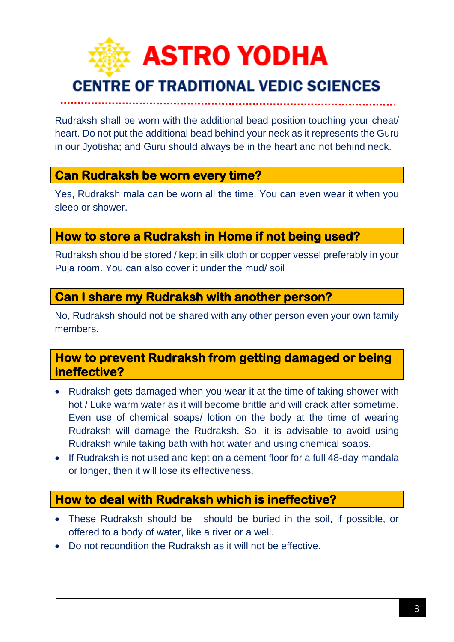

Rudraksh shall be worn with the additional bead position touching your cheat/ heart. Do not put the additional bead behind your neck as it represents the Guru in our Jyotisha; and Guru should always be in the heart and not behind neck.

## **Can Rudraksh be worn every time?**

Yes, Rudraksh mala can be worn all the time. You can even wear it when you sleep or shower.

# **How to store a Rudraksh in Home if not being used?**

Rudraksh should be stored / kept in silk cloth or copper vessel preferably in your Puja room. You can also cover it under the mud/ soil

## **Can I share my Rudraksh with another person?**

No, Rudraksh should not be shared with any other person even your own family members.

### **How to prevent Rudraksh from getting damaged or being ineffective?**

- Rudraksh gets damaged when you wear it at the time of taking shower with hot / Luke warm water as it will become brittle and will crack after sometime. Even use of chemical soaps/ lotion on the body at the time of wearing Rudraksh will damage the Rudraksh. So, it is advisable to avoid using Rudraksh while taking bath with hot water and using chemical soaps.
- If Rudraksh is not used and kept on a cement floor for a full 48-day mandala or longer, then it will lose its effectiveness.

# **How to deal with Rudraksh which is ineffective?**

- These Rudraksh should be should be buried in the soil, if possible, or offered to a body of water, like a river or a well.
- Do not recondition the Rudraksh as it will not be effective.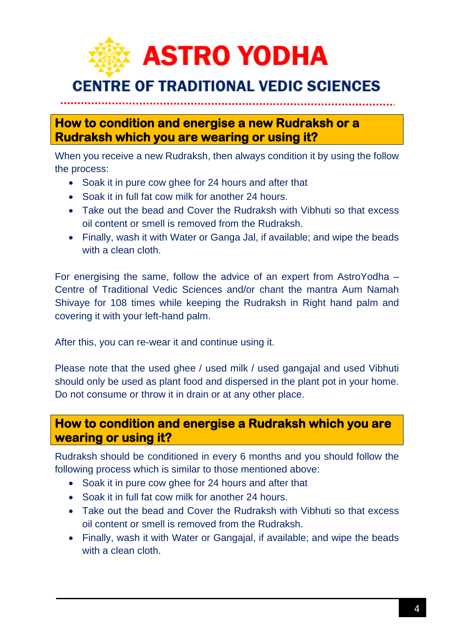

**How to condition and energise a new Rudraksh or a Rudraksh which you are wearing or using it?** 

When you receive a new Rudraksh, then always condition it by using the follow the process:

- Soak it in pure cow ghee for 24 hours and after that
- Soak it in full fat cow milk for another 24 hours.
- Take out the bead and Cover the Rudraksh with Vibhuti so that excess oil content or smell is removed from the Rudraksh.
- Finally, wash it with Water or Ganga Jal, if available; and wipe the beads with a clean cloth.

For energising the same, follow the advice of an expert from AstroYodha – Centre of Traditional Vedic Sciences and/or chant the mantra Aum Namah Shivaye for 108 times while keeping the Rudraksh in Right hand palm and covering it with your left-hand palm.

After this, you can re-wear it and continue using it.

Please note that the used ghee / used milk / used gangajal and used Vibhuti should only be used as plant food and dispersed in the plant pot in your home. Do not consume or throw it in drain or at any other place.

## **How to condition and energise a Rudraksh which you are wearing or using it?**

Rudraksh should be conditioned in every 6 months and you should follow the following process which is similar to those mentioned above:

- Soak it in pure cow ghee for 24 hours and after that
- Soak it in full fat cow milk for another 24 hours.
- Take out the bead and Cover the Rudraksh with Vibhuti so that excess oil content or smell is removed from the Rudraksh.
- Finally, wash it with Water or Gangajal, if available; and wipe the beads with a clean cloth.